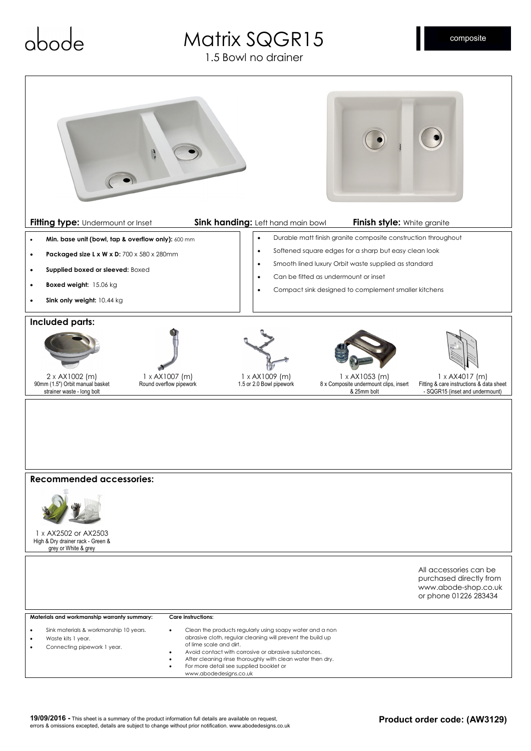# Matrix SQGR15

1.5 Bowl no drainer